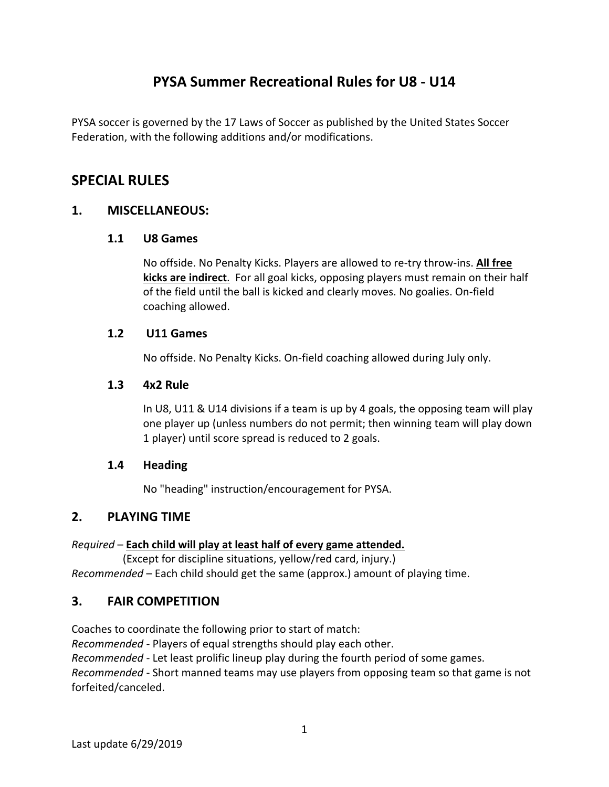# **PYSA Summer Recreational Rules for U8 ‐ U14**

PYSA soccer is governed by the 17 Laws of Soccer as published by the United States Soccer Federation, with the following additions and/or modifications.

# **SPECIAL RULES**

# **1. MISCELLANEOUS:**

### **1.1 U8 Games**

No offside. No Penalty Kicks. Players are allowed to re‐try throw‐ins. **All free kicks are indirect**. For all goal kicks, opposing players must remain on their half of the field until the ball is kicked and clearly moves. No goalies. On‐field coaching allowed.

### **1.2 U11 Games**

No offside. No Penalty Kicks. On‐field coaching allowed during July only.

### **1.3 4x2 Rule**

In U8, U11 & U14 divisions if a team is up by 4 goals, the opposing team will play one player up (unless numbers do not permit; then winning team will play down 1 player) until score spread is reduced to 2 goals.

#### **1.4 Heading**

No "heading" instruction/encouragement for PYSA.

# **2. PLAYING TIME**

#### *Required* – **Each child will play at least half of every game attended.**

 (Except for discipline situations, yellow/red card, injury.) *Recommended* – Each child should get the same (approx.) amount of playing time.

# **3. FAIR COMPETITION**

Coaches to coordinate the following prior to start of match:

*Recommended* ‐ Players of equal strengths should play each other.

*Recommended* ‐ Let least prolific lineup play during the fourth period of some games.

*Recommended* ‐ Short manned teams may use players from opposing team so that game is not forfeited/canceled.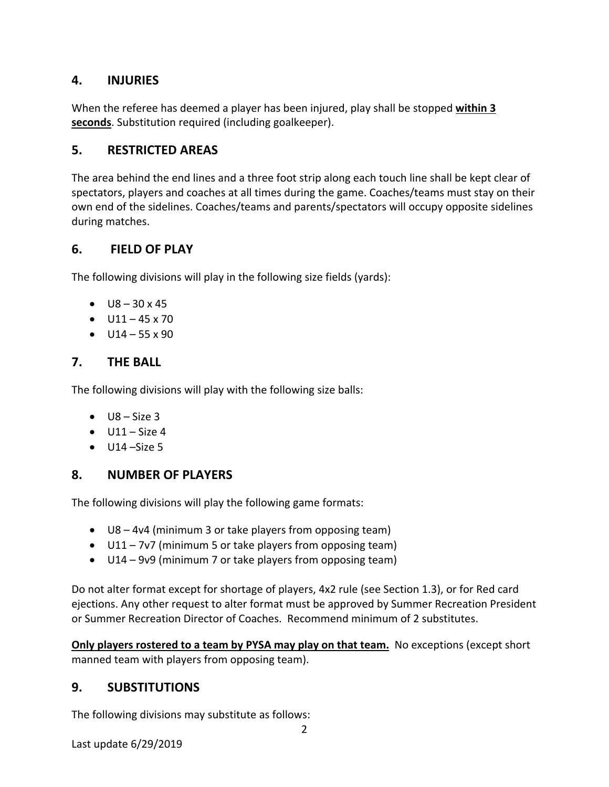# **4. INJURIES**

When the referee has deemed a player has been injured, play shall be stopped **within 3 seconds**. Substitution required (including goalkeeper).

### **5. RESTRICTED AREAS**

The area behind the end lines and a three foot strip along each touch line shall be kept clear of spectators, players and coaches at all times during the game. Coaches/teams must stay on their own end of the sidelines. Coaches/teams and parents/spectators will occupy opposite sidelines during matches.

### **6. FIELD OF PLAY**

The following divisions will play in the following size fields (yards):

- $-18 30 \times 45$
- $-11 45 \times 70$
- $-$  U14 55 x 90

# **7. THE BALL**

The following divisions will play with the following size balls:

- $\bullet$  U8 Size 3
- $\bullet$  U11 Size 4
- $\bullet$  U14 –Size 5

# **8. NUMBER OF PLAYERS**

The following divisions will play the following game formats:

- U8 4v4 (minimum 3 or take players from opposing team)
- U11 7v7 (minimum 5 or take players from opposing team)
- U14 9v9 (minimum 7 or take players from opposing team)

Do not alter format except for shortage of players, 4x2 rule (see Section 1.3), or for Red card ejections. Any other request to alter format must be approved by Summer Recreation President or Summer Recreation Director of Coaches. Recommend minimum of 2 substitutes.

**Only players rostered to a team by PYSA may play on that team.** No exceptions (except short manned team with players from opposing team).

# **9. SUBSTITUTIONS**

The following divisions may substitute as follows:

Last update 6/29/2019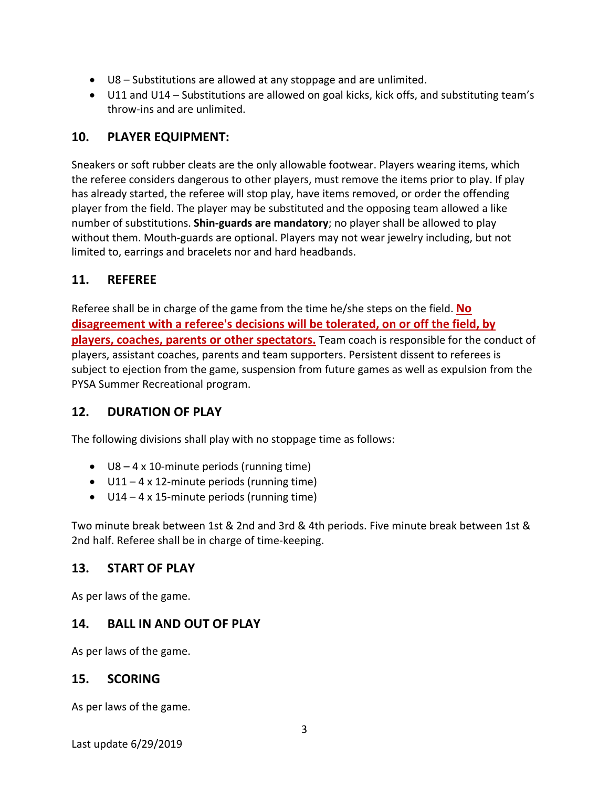- U8 Substitutions are allowed at any stoppage and are unlimited.
- U11 and U14 Substitutions are allowed on goal kicks, kick offs, and substituting team's throw‐ins and are unlimited.

# **10. PLAYER EQUIPMENT:**

Sneakers or soft rubber cleats are the only allowable footwear. Players wearing items, which the referee considers dangerous to other players, must remove the items prior to play. If play has already started, the referee will stop play, have items removed, or order the offending player from the field. The player may be substituted and the opposing team allowed a like number of substitutions. **Shin‐guards are mandatory**; no player shall be allowed to play without them. Mouth‐guards are optional. Players may not wear jewelry including, but not limited to, earrings and bracelets nor and hard headbands.

# **11. REFEREE**

Referee shall be in charge of the game from the time he/she steps on the field. **No disagreement with a referee's decisions will be tolerated, on or off the field, by players, coaches, parents or other spectators.** Team coach is responsible for the conduct of players, assistant coaches, parents and team supporters. Persistent dissent to referees is subject to ejection from the game, suspension from future games as well as expulsion from the PYSA Summer Recreational program.

# **12. DURATION OF PLAY**

The following divisions shall play with no stoppage time as follows:

- $\bullet$  U8 4 x 10-minute periods (running time)
- $\bullet$  U11 4 x 12-minute periods (running time)
- $\bullet$  U14 4 x 15-minute periods (running time)

Two minute break between 1st & 2nd and 3rd & 4th periods. Five minute break between 1st & 2nd half. Referee shall be in charge of time‐keeping.

# **13. START OF PLAY**

As per laws of the game.

#### **14. BALL IN AND OUT OF PLAY**

As per laws of the game.

# **15. SCORING**

As per laws of the game.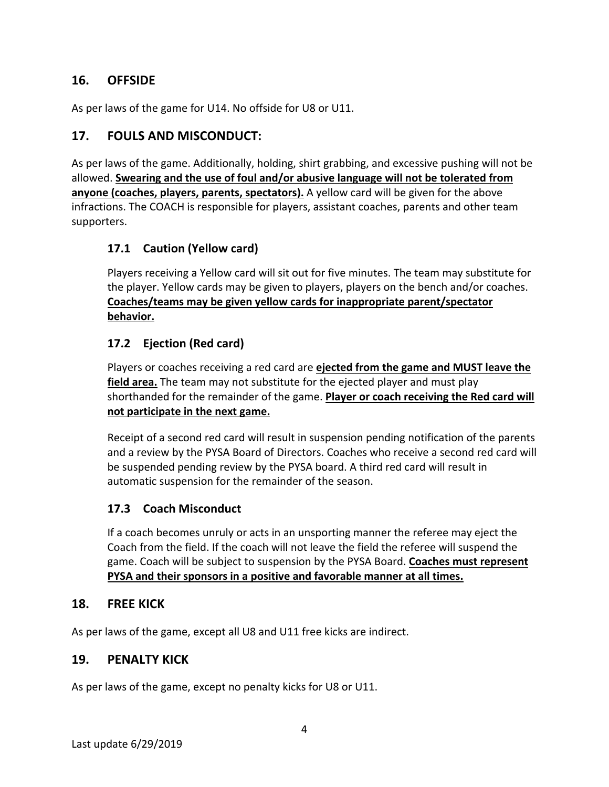# **16. OFFSIDE**

As per laws of the game for U14. No offside for U8 or U11.

# **17. FOULS AND MISCONDUCT:**

As per laws of the game. Additionally, holding, shirt grabbing, and excessive pushing will not be allowed. **Swearing and the use of foul and/or abusive language will not be tolerated from anyone (coaches, players, parents, spectators).** A yellow card will be given for the above infractions. The COACH is responsible for players, assistant coaches, parents and other team supporters.

# **17.1 Caution (Yellow card)**

Players receiving a Yellow card will sit out for five minutes. The team may substitute for the player. Yellow cards may be given to players, players on the bench and/or coaches. **Coaches/teams may be given yellow cards for inappropriate parent/spectator behavior.**

### **17.2 Ejection (Red card)**

Players or coaches receiving a red card are **ejected from the game and MUST leave the field area.** The team may not substitute for the ejected player and must play shorthanded for the remainder of the game. **Player or coach receiving the Red card will not participate in the next game.**

Receipt of a second red card will result in suspension pending notification of the parents and a review by the PYSA Board of Directors. Coaches who receive a second red card will be suspended pending review by the PYSA board. A third red card will result in automatic suspension for the remainder of the season.

#### **17.3 Coach Misconduct**

If a coach becomes unruly or acts in an unsporting manner the referee may eject the Coach from the field. If the coach will not leave the field the referee will suspend the game. Coach will be subject to suspension by the PYSA Board. **Coaches must represent PYSA and their sponsors in a positive and favorable manner at all times.**

#### **18. FREE KICK**

As per laws of the game, except all U8 and U11 free kicks are indirect.

#### **19. PENALTY KICK**

As per laws of the game, except no penalty kicks for U8 or U11.